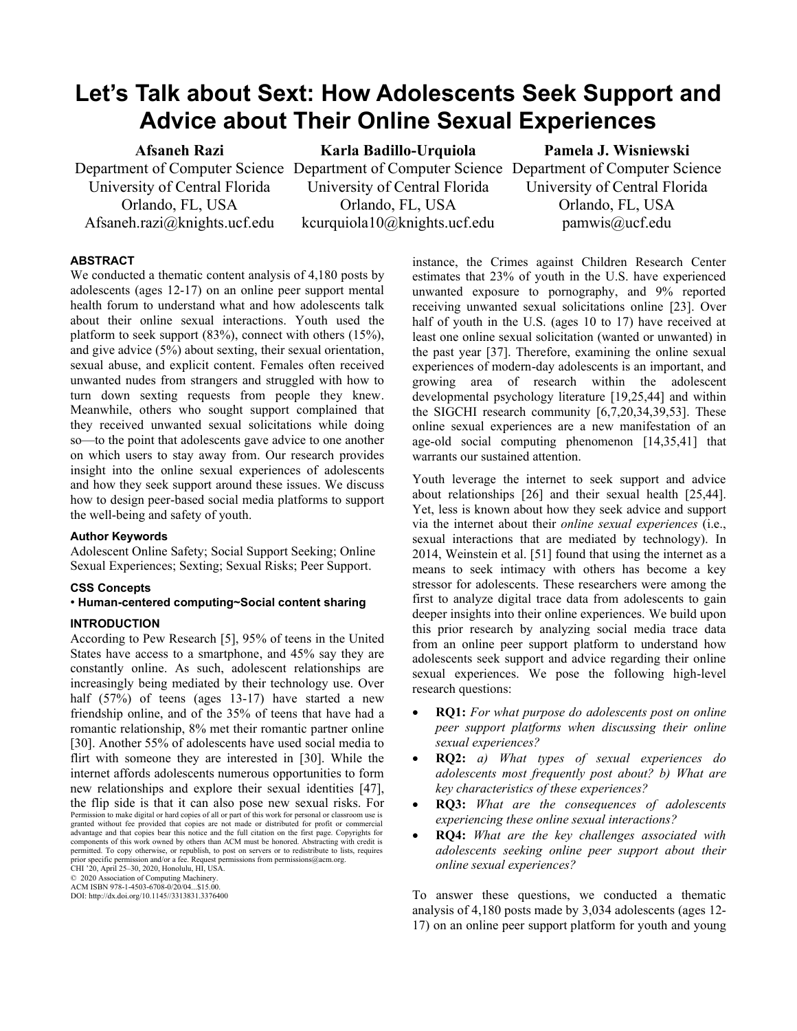# **Let's Talk about Sext: How Adolescents Seek Support and Advice about Their Online Sexual Experiences**

# **Afsaneh Razi**

University of Central Florida Orlando, FL, USA Afsaneh.razi@knights.ucf.edu **Karla Badillo-Urquiola**

Department of Computer Science Department of Computer Science Department of Computer Science University of Central Florida Orlando, FL, USA kcurquiola10@knights.ucf.edu

**Pamela J. Wisniewski**

University of Central Florida Orlando, FL, USA pamwis@ucf.edu

# **ABSTRACT**

We conducted a thematic content analysis of 4,180 posts by adolescents (ages 12-17) on an online peer support mental health forum to understand what and how adolescents talk about their online sexual interactions. Youth used the platform to seek support (83%), connect with others (15%), and give advice (5%) about sexting, their sexual orientation, sexual abuse, and explicit content. Females often received unwanted nudes from strangers and struggled with how to turn down sexting requests from people they knew. Meanwhile, others who sought support complained that they received unwanted sexual solicitations while doing so—to the point that adolescents gave advice to one another on which users to stay away from. Our research provides insight into the online sexual experiences of adolescents and how they seek support around these issues. We discuss how to design peer-based social media platforms to support the well-being and safety of youth.

# **Author Keywords**

Adolescent Online Safety; Social Support Seeking; Online Sexual Experiences; Sexting; Sexual Risks; Peer Support.

## **CSS Concepts**

## • **Human-centered computing~Social content sharing**

# **INTRODUCTION**

According to Pew Research [5], 95% of teens in the United States have access to a smartphone, and 45% say they are constantly online. As such, adolescent relationships are increasingly being mediated by their technology use. Over half (57%) of teens (ages 13-17) have started a new friendship online, and of the 35% of teens that have had a romantic relationship, 8% met their romantic partner online [30]. Another 55% of adolescents have used social media to flirt with someone they are interested in [30]. While the internet affords adolescents numerous opportunities to form new relationships and explore their sexual identities [47], the flip side is that it can also pose new sexual risks. For Permission to make digital or hard copies of all or part of this work for personal or classroom use is granted without fee provided that copies are not made or distributed for profit or commercial<br>advantage and that copies bear this notice and the full citation on the first page. Copyrights for<br>components of this work owned permitted. To copy otherwise, or republish, to post on servers or to redistribute to lists, requires prior specific permission and/or a fee. Request permissions from permissions@acm.org. CHI '20, April 25–30, 2020, Honolulu, HI, USA.

© 2020 Association of Computing Machinery. ACM ISBN 978-1-4503-6708-0/20/04...\$15.00.

DOI: http://dx.doi.org/10.1145//3313831.3376400

To answer these questions, we conducted a thematic analysis of 4,180 posts made by 3,034 adolescents (ages 12- 17) on an online peer support platform for youth and young

instance, the Crimes against Children Research Center estimates that 23% of youth in the U.S. have experienced unwanted exposure to pornography, and 9% reported receiving unwanted sexual solicitations online [23]. Over half of youth in the U.S. (ages 10 to 17) have received at least one online sexual solicitation (wanted or unwanted) in the past year [37]. Therefore, examining the online sexual experiences of modern-day adolescents is an important, and growing area of research within the adolescent developmental psychology literature [19,25,44] and within the SIGCHI research community [6,7,20,34,39,53]. These online sexual experiences are a new manifestation of an age-old social computing phenomenon [14,35,41] that warrants our sustained attention.

Youth leverage the internet to seek support and advice about relationships [26] and their sexual health [25,44]. Yet, less is known about how they seek advice and support via the internet about their *online sexual experiences* (i.e., sexual interactions that are mediated by technology). In 2014, Weinstein et al. [51] found that using the internet as a means to seek intimacy with others has become a key stressor for adolescents. These researchers were among the first to analyze digital trace data from adolescents to gain deeper insights into their online experiences. We build upon this prior research by analyzing social media trace data from an online peer support platform to understand how adolescents seek support and advice regarding their online sexual experiences. We pose the following high-level research questions:

- **RQ1:** *For what purpose do adolescents post on online peer support platforms when discussing their online sexual experiences?*
- **RQ2:** *a) What types of sexual experiences do adolescents most frequently post about? b) What are key characteristics of these experiences?*
- **RQ3:** *What are the consequences of adolescents experiencing these online sexual interactions?*
- **RQ4:** *What are the key challenges associated with adolescents seeking online peer support about their online sexual experiences?*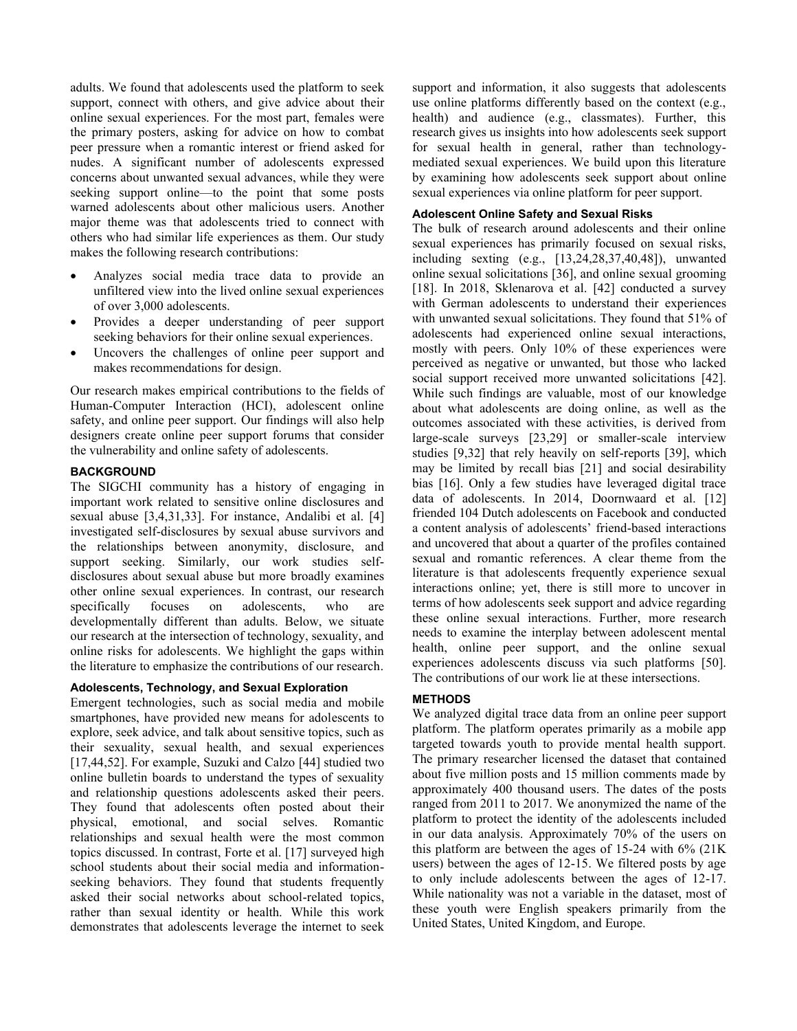adults. We found that adolescents used the platform to seek support, connect with others, and give advice about their online sexual experiences. For the most part, females were the primary posters, asking for advice on how to combat peer pressure when a romantic interest or friend asked for nudes. A significant number of adolescents expressed concerns about unwanted sexual advances, while they were seeking support online—to the point that some posts warned adolescents about other malicious users. Another major theme was that adolescents tried to connect with others who had similar life experiences as them. Our study makes the following research contributions:

- Analyzes social media trace data to provide an unfiltered view into the lived online sexual experiences of over 3,000 adolescents.
- Provides a deeper understanding of peer support seeking behaviors for their online sexual experiences.
- Uncovers the challenges of online peer support and makes recommendations for design.

Our research makes empirical contributions to the fields of Human-Computer Interaction (HCI), adolescent online safety, and online peer support. Our findings will also help designers create online peer support forums that consider the vulnerability and online safety of adolescents.

## **BACKGROUND**

The SIGCHI community has a history of engaging in important work related to sensitive online disclosures and sexual abuse [3,4,31,33]. For instance, Andalibi et al. [4] investigated self-disclosures by sexual abuse survivors and the relationships between anonymity, disclosure, and support seeking. Similarly, our work studies selfdisclosures about sexual abuse but more broadly examines other online sexual experiences. In contrast, our research specifically focuses on adolescents, who are developmentally different than adults. Below, we situate our research at the intersection of technology, sexuality, and online risks for adolescents. We highlight the gaps within the literature to emphasize the contributions of our research.

# **Adolescents, Technology, and Sexual Exploration**

Emergent technologies, such as social media and mobile smartphones, have provided new means for adolescents to explore, seek advice, and talk about sensitive topics, such as their sexuality, sexual health, and sexual experiences [17,44,52]. For example, Suzuki and Calzo [44] studied two online bulletin boards to understand the types of sexuality and relationship questions adolescents asked their peers. They found that adolescents often posted about their physical, emotional, and social selves. Romantic relationships and sexual health were the most common topics discussed. In contrast, Forte et al. [17] surveyed high school students about their social media and informationseeking behaviors. They found that students frequently asked their social networks about school-related topics, rather than sexual identity or health. While this work demonstrates that adolescents leverage the internet to seek

support and information, it also suggests that adolescents use online platforms differently based on the context (e.g., health) and audience (e.g., classmates). Further, this research gives us insights into how adolescents seek support for sexual health in general, rather than technologymediated sexual experiences. We build upon this literature by examining how adolescents seek support about online sexual experiences via online platform for peer support.

## **Adolescent Online Safety and Sexual Risks**

The bulk of research around adolescents and their online sexual experiences has primarily focused on sexual risks, including sexting (e.g., [13,24,28,37,40,48]), unwanted online sexual solicitations [36], and online sexual grooming [18]. In 2018, Sklenarova et al. [42] conducted a survey with German adolescents to understand their experiences with unwanted sexual solicitations. They found that 51% of adolescents had experienced online sexual interactions, mostly with peers. Only 10% of these experiences were perceived as negative or unwanted, but those who lacked social support received more unwanted solicitations [42]. While such findings are valuable, most of our knowledge about what adolescents are doing online, as well as the outcomes associated with these activities, is derived from large-scale surveys [23,29] or smaller-scale interview studies [9,32] that rely heavily on self-reports [39], which may be limited by recall bias [21] and social desirability bias [16]. Only a few studies have leveraged digital trace data of adolescents. In 2014, Doornwaard et al. [12] friended 104 Dutch adolescents on Facebook and conducted a content analysis of adolescents' friend-based interactions and uncovered that about a quarter of the profiles contained sexual and romantic references. A clear theme from the literature is that adolescents frequently experience sexual interactions online; yet, there is still more to uncover in terms of how adolescents seek support and advice regarding these online sexual interactions. Further, more research needs to examine the interplay between adolescent mental health, online peer support, and the online sexual experiences adolescents discuss via such platforms [50]. The contributions of our work lie at these intersections.

## **METHODS**

We analyzed digital trace data from an online peer support platform. The platform operates primarily as a mobile app targeted towards youth to provide mental health support. The primary researcher licensed the dataset that contained about five million posts and 15 million comments made by approximately 400 thousand users. The dates of the posts ranged from 2011 to 2017. We anonymized the name of the platform to protect the identity of the adolescents included in our data analysis. Approximately 70% of the users on this platform are between the ages of 15-24 with 6% (21K users) between the ages of 12-15. We filtered posts by age to only include adolescents between the ages of 12-17. While nationality was not a variable in the dataset, most of these youth were English speakers primarily from the United States, United Kingdom, and Europe.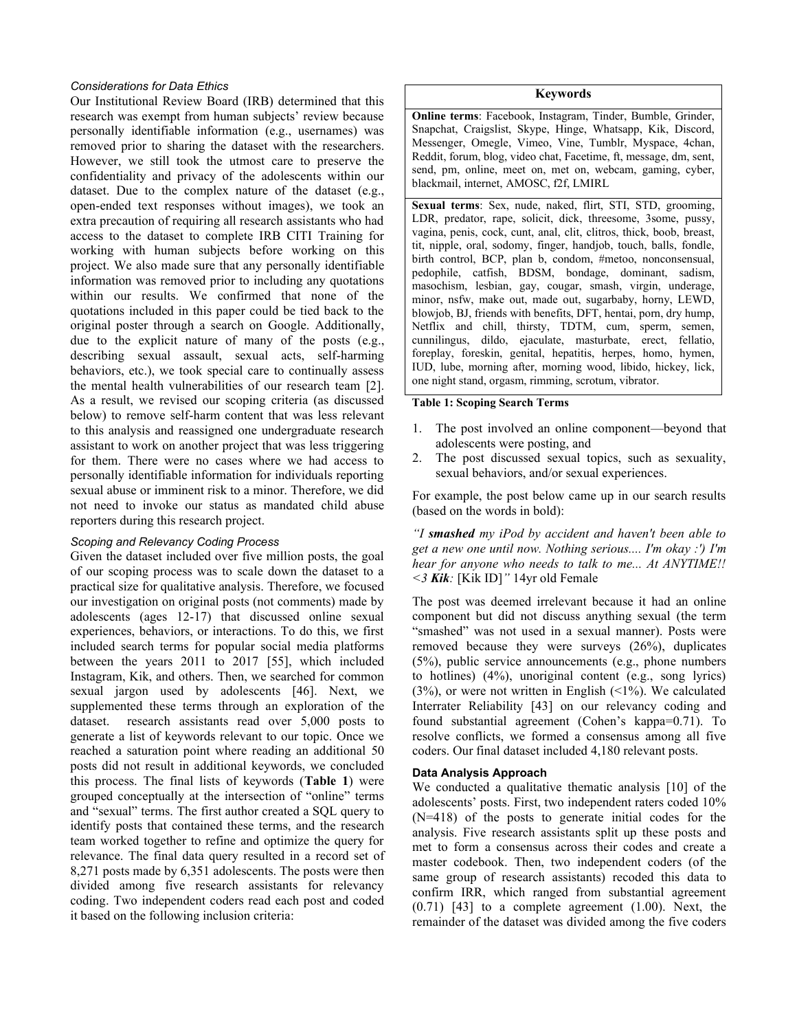## *Considerations for Data Ethics*

Our Institutional Review Board (IRB) determined that this research was exempt from human subjects' review because personally identifiable information (e.g., usernames) was removed prior to sharing the dataset with the researchers. However, we still took the utmost care to preserve the confidentiality and privacy of the adolescents within our dataset. Due to the complex nature of the dataset (e.g., open-ended text responses without images), we took an extra precaution of requiring all research assistants who had access to the dataset to complete IRB CITI Training for working with human subjects before working on this project. We also made sure that any personally identifiable information was removed prior to including any quotations within our results. We confirmed that none of the quotations included in this paper could be tied back to the original poster through a search on Google. Additionally, due to the explicit nature of many of the posts (e.g., describing sexual assault, sexual acts, self-harming behaviors, etc.), we took special care to continually assess the mental health vulnerabilities of our research team [2]. As a result, we revised our scoping criteria (as discussed below) to remove self-harm content that was less relevant to this analysis and reassigned one undergraduate research assistant to work on another project that was less triggering for them. There were no cases where we had access to personally identifiable information for individuals reporting sexual abuse or imminent risk to a minor. Therefore, we did not need to invoke our status as mandated child abuse reporters during this research project.

## *Scoping and Relevancy Coding Process*

Given the dataset included over five million posts, the goal of our scoping process was to scale down the dataset to a practical size for qualitative analysis. Therefore, we focused our investigation on original posts (not comments) made by adolescents (ages 12-17) that discussed online sexual experiences, behaviors, or interactions. To do this, we first included search terms for popular social media platforms between the years 2011 to 2017 [55], which included Instagram, Kik, and others. Then, we searched for common sexual jargon used by adolescents [46]. Next, we supplemented these terms through an exploration of the dataset. research assistants read over 5,000 posts to generate a list of keywords relevant to our topic. Once we reached a saturation point where reading an additional 50 posts did not result in additional keywords, we concluded this process. The final lists of keywords (**Table 1**) were grouped conceptually at the intersection of "online" terms and "sexual" terms. The first author created a SQL query to identify posts that contained these terms, and the research team worked together to refine and optimize the query for relevance. The final data query resulted in a record set of 8,271 posts made by 6,351 adolescents. The posts were then divided among five research assistants for relevancy coding. Two independent coders read each post and coded it based on the following inclusion criteria:

## **Keywords**

**Online terms**: Facebook, Instagram, Tinder, Bumble, Grinder, Snapchat, Craigslist, Skype, Hinge, Whatsapp, Kik, Discord, Messenger, Omegle, Vimeo, Vine, Tumblr, Myspace, 4chan, Reddit, forum, blog, video chat, Facetime, ft, message, dm, sent, send, pm, online, meet on, met on, webcam, gaming, cyber, blackmail, internet, AMOSC, f2f, LMIRL

**Sexual terms**: Sex, nude, naked, flirt, STI, STD, grooming, LDR, predator, rape, solicit, dick, threesome, 3some, pussy, vagina, penis, cock, cunt, anal, clit, clitros, thick, boob, breast, tit, nipple, oral, sodomy, finger, handjob, touch, balls, fondle, birth control, BCP, plan b, condom, #metoo, nonconsensual, pedophile, catfish, BDSM, bondage, dominant, sadism, masochism, lesbian, gay, cougar, smash, virgin, underage, minor, nsfw, make out, made out, sugarbaby, horny, LEWD, blowjob, BJ, friends with benefits, DFT, hentai, porn, dry hump, Netflix and chill, thirsty, TDTM, cum, sperm, semen, cunnilingus, dildo, ejaculate, masturbate, erect, fellatio, foreplay, foreskin, genital, hepatitis, herpes, homo, hymen, IUD, lube, morning after, morning wood, libido, hickey, lick, one night stand, orgasm, rimming, scrotum, vibrator.

#### **Table 1: Scoping Search Terms**

- 1. The post involved an online component—beyond that adolescents were posting, and
- 2. The post discussed sexual topics, such as sexuality, sexual behaviors, and/or sexual experiences.

For example, the post below came up in our search results (based on the words in bold):

*"I smashed my iPod by accident and haven't been able to get a new one until now. Nothing serious.... I'm okay :') I'm hear for anyone who needs to talk to me... At ANYTIME!! <3 Kik:* [Kik ID]*"* 14yr old Female

The post was deemed irrelevant because it had an online component but did not discuss anything sexual (the term "smashed" was not used in a sexual manner). Posts were removed because they were surveys (26%), duplicates (5%), public service announcements (e.g., phone numbers to hotlines) (4%), unoriginal content (e.g., song lyrics)  $(3\%)$ , or were not written in English  $(\leq 1\%)$ . We calculated Interrater Reliability [43] on our relevancy coding and found substantial agreement (Cohen's kappa=0.71). To resolve conflicts, we formed a consensus among all five coders. Our final dataset included 4,180 relevant posts.

## **Data Analysis Approach**

We conducted a qualitative thematic analysis [10] of the adolescents' posts. First, two independent raters coded 10% (N=418) of the posts to generate initial codes for the analysis. Five research assistants split up these posts and met to form a consensus across their codes and create a master codebook. Then, two independent coders (of the same group of research assistants) recoded this data to confirm IRR, which ranged from substantial agreement  $(0.71)$  [43] to a complete agreement  $(1.00)$ . Next, the remainder of the dataset was divided among the five coders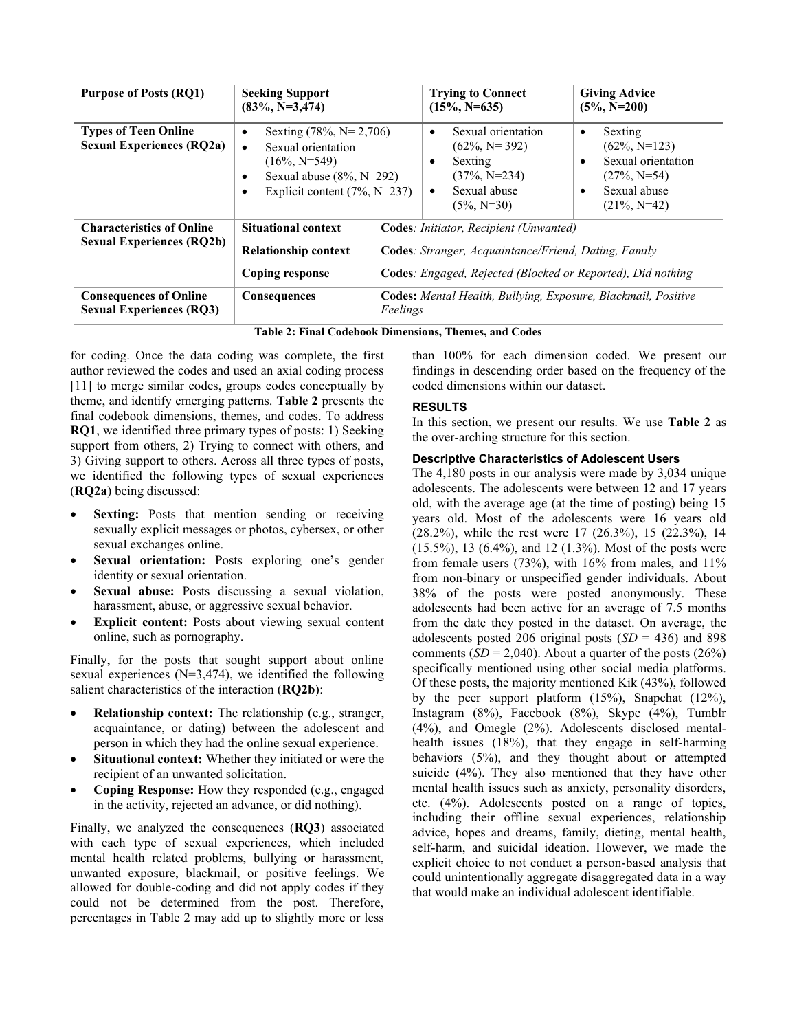| <b>Purpose of Posts (RQ1)</b>                                    | <b>Seeking Support</b><br>$(83\%, N=3,474)$                                                                                                       |  | <b>Trying to Connect</b><br>$(15\%, N=635)$                                                                                                 | <b>Giving Advice</b><br>$(5\%, N=200)$                                                                                         |
|------------------------------------------------------------------|---------------------------------------------------------------------------------------------------------------------------------------------------|--|---------------------------------------------------------------------------------------------------------------------------------------------|--------------------------------------------------------------------------------------------------------------------------------|
| <b>Types of Teen Online</b><br><b>Sexual Experiences (RQ2a)</b>  | Sexting $(78\%, N=2,706)$<br>Sexual orientation<br>$\bullet$<br>$(16\%, N=549)$<br>Sexual abuse $(8\%, N=292)$<br>Explicit content $(7\%, N=237)$ |  | Sexual orientation<br>$\bullet$<br>$(62\%, N=392)$<br>Sexting<br>$\bullet$<br>$(37\%, N=234)$<br>Sexual abuse<br>$\bullet$<br>$(5\%, N=30)$ | Sexting<br>$\bullet$<br>$(62\%, N=123)$<br>Sexual orientation<br>$(27\%, N=54)$<br>Sexual abuse<br>$\bullet$<br>$(21\%, N=42)$ |
| <b>Characteristics of Online</b>                                 | <b>Situational context</b>                                                                                                                        |  | Codes: Initiator, Recipient (Unwanted)                                                                                                      |                                                                                                                                |
| <b>Sexual Experiences (RQ2b)</b>                                 | <b>Relationship context</b>                                                                                                                       |  | <b>Codes:</b> Stranger, Acquaintance/Friend, Dating, Family                                                                                 |                                                                                                                                |
|                                                                  | Coping response                                                                                                                                   |  | Codes: Engaged, Rejected (Blocked or Reported), Did nothing                                                                                 |                                                                                                                                |
| <b>Consequences of Online</b><br><b>Sexual Experiences (RQ3)</b> | <b>Consequences</b><br>Feelings                                                                                                                   |  | Codes: Mental Health, Bullying, Exposure, Blackmail, Positive                                                                               |                                                                                                                                |

**Table 2: Final Codebook Dimensions, Themes, and Codes**

<span id="page-3-0"></span>for coding. Once the data coding was complete, the first author reviewed the codes and used an axial coding process [11] to merge similar codes, groups codes conceptually by theme, and identify emerging patterns. **[Table 2](#page-3-0)** presents the final codebook dimensions, themes, and codes. To address **RQ1**, we identified three primary types of posts: 1) Seeking support from others, 2) Trying to connect with others, and 3) Giving support to others. Across all three types of posts, we identified the following types of sexual experiences (**RQ2a**) being discussed:

- **Sexting:** Posts that mention sending or receiving sexually explicit messages or photos, cybersex, or other sexual exchanges online.
- Sexual orientation: Posts exploring one's gender identity or sexual orientation.
- Sexual abuse: Posts discussing a sexual violation, harassment, abuse, or aggressive sexual behavior.
- **Explicit content:** Posts about viewing sexual content online, such as pornography.

Finally, for the posts that sought support about online sexual experiences (N=3,474), we identified the following salient characteristics of the interaction (**RQ2b**):

- **Relationship context:** The relationship (e.g., stranger, acquaintance, or dating) between the adolescent and person in which they had the online sexual experience.
- Situational context: Whether they initiated or were the recipient of an unwanted solicitation.
- **Coping Response:** How they responded (e.g., engaged in the activity, rejected an advance, or did nothing).

Finally, we analyzed the consequences (**RQ3**) associated with each type of sexual experiences, which included mental health related problems, bullying or harassment, unwanted exposure, blackmail, or positive feelings. We allowed for double-coding and did not apply codes if they could not be determined from the post. Therefore, percentages in Table 2 may add up to slightly more or less than 100% for each dimension coded. We present our findings in descending order based on the frequency of the coded dimensions within our dataset.

# **RESULTS**

In this section, we present our results. We use **Table 2** as the over-arching structure for this section.

## **Descriptive Characteristics of Adolescent Users**

The 4,180 posts in our analysis were made by 3,034 unique adolescents. The adolescents were between 12 and 17 years old, with the average age (at the time of posting) being 15 years old. Most of the adolescents were 16 years old (28.2%), while the rest were 17 (26.3%), 15 (22.3%), 14 (15.5%), 13 (6.4%), and 12 (1.3%). Most of the posts were from female users (73%), with 16% from males, and 11% from non-binary or unspecified gender individuals. About 38% of the posts were posted anonymously. These adolescents had been active for an average of 7.5 months from the date they posted in the dataset. On average, the adolescents posted 206 original posts (*SD* = 436) and 898 comments  $(SD = 2,040)$ . About a quarter of the posts  $(26%)$ specifically mentioned using other social media platforms. Of these posts, the majority mentioned Kik (43%), followed by the peer support platform (15%), Snapchat (12%), Instagram (8%), Facebook (8%), Skype (4%), Tumblr (4%), and Omegle (2%). Adolescents disclosed mentalhealth issues (18%), that they engage in self-harming behaviors (5%), and they thought about or attempted suicide (4%). They also mentioned that they have other mental health issues such as anxiety, personality disorders, etc. (4%). Adolescents posted on a range of topics, including their offline sexual experiences, relationship advice, hopes and dreams, family, dieting, mental health, self-harm, and suicidal ideation. However, we made the explicit choice to not conduct a person-based analysis that could unintentionally aggregate disaggregated data in a way that would make an individual adolescent identifiable.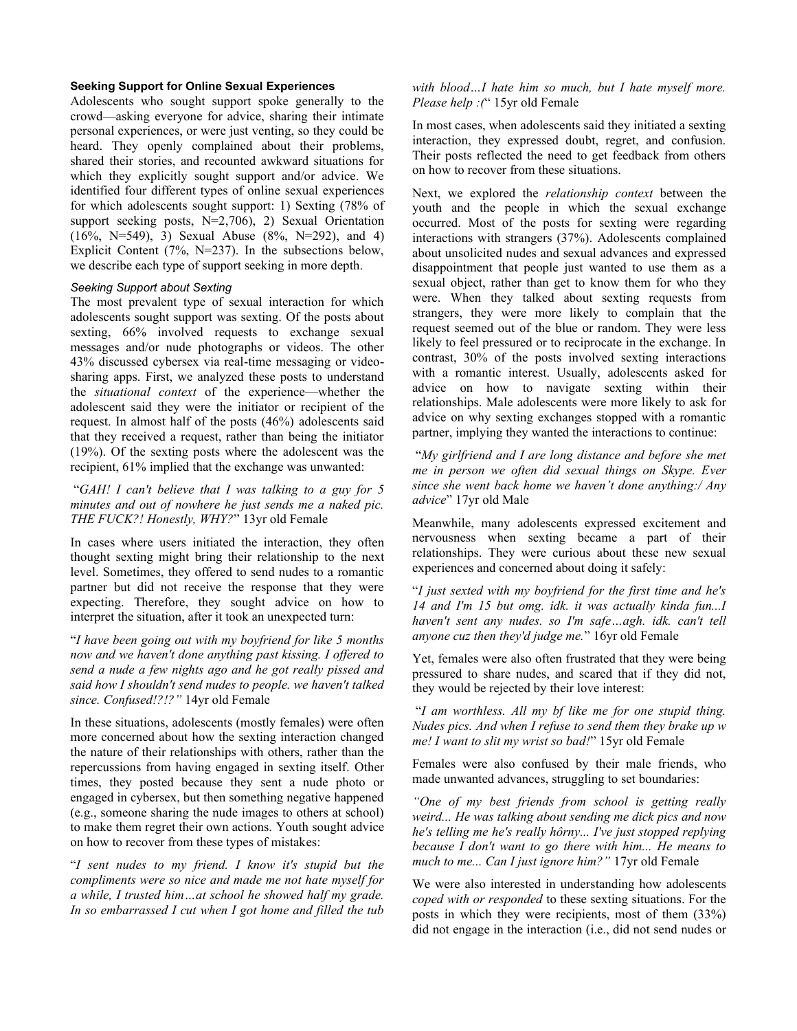# **Seeking Support for Online Sexual Experiences**

Adolescents who sought support spoke generally to the crowd—asking everyone for advice, sharing their intimate personal experiences, or were just venting, so they could be heard. They openly complained about their problems, shared their stories, and recounted awkward situations for which they explicitly sought support and/or advice. We identified four different types of online sexual experiences for which adolescents sought support: 1) Sexting (78% of support seeking posts, N=2,706), 2) Sexual Orientation  $(16\%, N=549), 3)$  Sexual Abuse  $(8\%, N=292),$  and 4) Explicit Content (7%, N=237). In the subsections below, we describe each type of support seeking in more depth.

#### *Seeking Support about Sexting*

The most prevalent type of sexual interaction for which adolescents sought support was sexting. Of the posts about sexting, 66% involved requests to exchange sexual messages and/or nude photographs or videos. The other 43% discussed cybersex via real-time messaging or videosharing apps. First, we analyzed these posts to understand the *situational context* of the experience—whether the adolescent said they were the initiator or recipient of the request. In almost half of the posts (46%) adolescents said that they received a request, rather than being the initiator (19%). Of the sexting posts where the adolescent was the recipient, 61% implied that the exchange was unwanted:

"*GAH! I can't believe that I was talking to a guy for 5 minutes and out of nowhere he just sends me a naked pic. THE FUCK?! Honestly, WHY?*" 13yr old Female

In cases where users initiated the interaction, they often thought sexting might bring their relationship to the next level. Sometimes, they offered to send nudes to a romantic partner but did not receive the response that they were expecting. Therefore, they sought advice on how to interpret the situation, after it took an unexpected turn:

"*I have been going out with my boyfriend for like 5 months now and we haven't done anything past kissing. I offered to send a nude a few nights ago and he got really pissed and said how I shouldn't send nudes to people. we haven't talked since. Confused!?!?"* 14yr old Female

In these situations, adolescents (mostly females) were often more concerned about how the sexting interaction changed the nature of their relationships with others, rather than the repercussions from having engaged in sexting itself. Other times, they posted because they sent a nude photo or engaged in cybersex, but then something negative happened (e.g., someone sharing the nude images to others at school) to make them regret their own actions. Youth sought advice on how to recover from these types of mistakes:

"*I sent nudes to my friend. I know it's stupid but the compliments were so nice and made me not hate myself for a while, I trusted him…at school he showed half my grade. In so embarrassed I cut when I got home and filled the tub*  *with blood…I hate him so much, but I hate myself more. Please help :(*" 15yr old Female

In most cases, when adolescents said they initiated a sexting interaction, they expressed doubt, regret, and confusion. Their posts reflected the need to get feedback from others on how to recover from these situations.

Next, we explored the *relationship context* between the youth and the people in which the sexual exchange occurred. Most of the posts for sexting were regarding interactions with strangers (37%). Adolescents complained about unsolicited nudes and sexual advances and expressed disappointment that people just wanted to use them as a sexual object, rather than get to know them for who they were. When they talked about sexting requests from strangers, they were more likely to complain that the request seemed out of the blue or random. They were less likely to feel pressured or to reciprocate in the exchange. In contrast, 30% of the posts involved sexting interactions with a romantic interest. Usually, adolescents asked for advice on how to navigate sexting within their relationships. Male adolescents were more likely to ask for advice on why sexting exchanges stopped with a romantic partner, implying they wanted the interactions to continue:

"*My girlfriend and I are long distance and before she met me in person we often did sexual things on Skype. Ever since she went back home we haven't done anything:/ Any advice*" 17yr old Male

Meanwhile, many adolescents expressed excitement and nervousness when sexting became a part of their relationships. They were curious about these new sexual experiences and concerned about doing it safely:

"*I just sexted with my boyfriend for the first time and he's 14 and I'm 15 but omg. idk. it was actually kinda fun...I haven't sent any nudes. so I'm safe…agh. idk. can't tell anyone cuz then they'd judge me.*" 16yr old Female

Yet, females were also often frustrated that they were being pressured to share nudes, and scared that if they did not, they would be rejected by their love interest:

"*I am worthless. All my bf like me for one stupid thing. Nudes pics. And when I refuse to send them they brake up w me! I want to slit my wrist so bad!*" 15yr old Female

Females were also confused by their male friends, who made unwanted advances, struggling to set boundaries:

*"One of my best friends from school is getting really weird... He was talking about sending me dick pics and now he's telling me he's really hôrny... I've just stopped replying because I don't want to go there with him... He means to much to me... Can I just ignore him?"* 17yr old Female

We were also interested in understanding how adolescents *coped with or responded* to these sexting situations. For the posts in which they were recipients, most of them (33%) did not engage in the interaction (i.e., did not send nudes or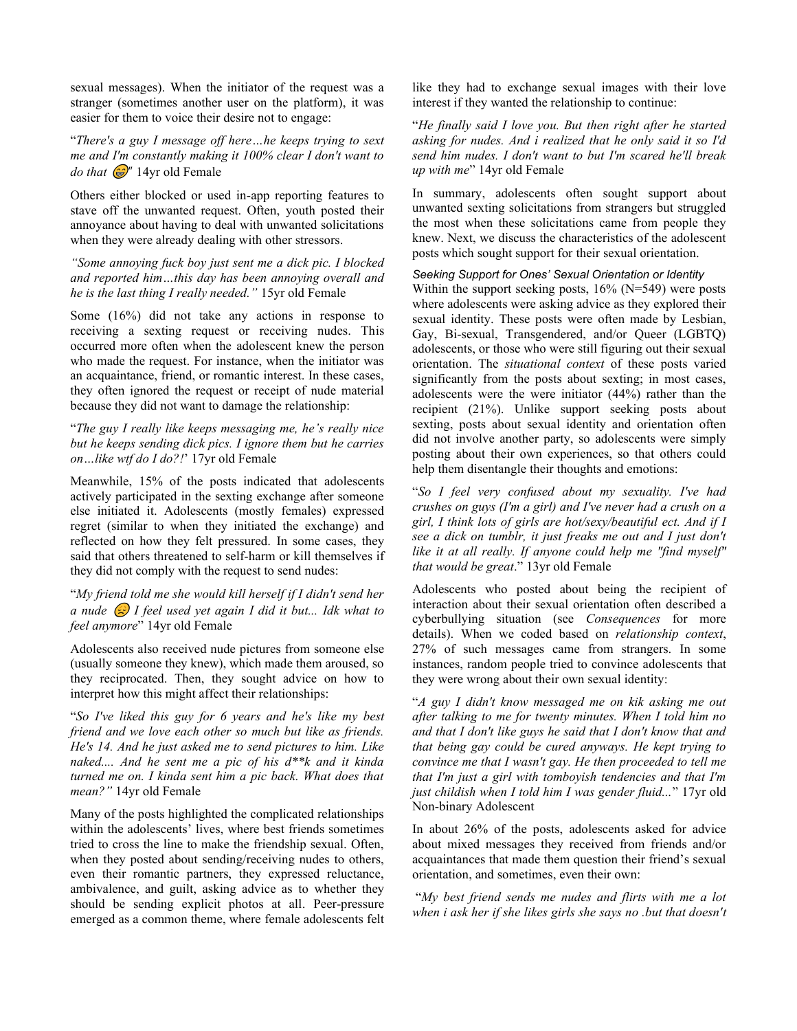sexual messages). When the initiator of the request was a stranger (sometimes another user on the platform), it was easier for them to voice their desire not to engage:

"*There's a guy I message off here…he keeps trying to sext me and I'm constantly making it 100% clear I don't want to do that*  $\circled{a}$ <sup>"</sup> 14yr old Female

Others either blocked or used in-app reporting features to stave off the unwanted request. Often, youth posted their annoyance about having to deal with unwanted solicitations when they were already dealing with other stressors.

*"Some annoying fuck boy just sent me a dick pic. I blocked and reported him…this day has been annoying overall and he is the last thing I really needed."* 15yr old Female

Some (16%) did not take any actions in response to receiving a sexting request or receiving nudes. This occurred more often when the adolescent knew the person who made the request. For instance, when the initiator was an acquaintance, friend, or romantic interest. In these cases, they often ignored the request or receipt of nude material because they did not want to damage the relationship:

"*The guy I really like keeps messaging me, he's really nice but he keeps sending dick pics. I ignore them but he carries on…like wtf do I do?!*' 17yr old Female

Meanwhile, 15% of the posts indicated that adolescents actively participated in the sexting exchange after someone else initiated it. Adolescents (mostly females) expressed regret (similar to when they initiated the exchange) and reflected on how they felt pressured. In some cases, they said that others threatened to self-harm or kill themselves if they did not comply with the request to send nudes:

"*My friend told me she would kill herself if I didn't send her a nude I feel used yet again I did it but... Idk what to feel anymore*" 14yr old Female

Adolescents also received nude pictures from someone else (usually someone they knew), which made them aroused, so they reciprocated. Then, they sought advice on how to interpret how this might affect their relationships:

"*So I've liked this guy for 6 years and he's like my best friend and we love each other so much but like as friends. He's 14. And he just asked me to send pictures to him. Like naked.... And he sent me a pic of his d\*\*k and it kinda turned me on. I kinda sent him a pic back. What does that mean?"* 14yr old Female

Many of the posts highlighted the complicated relationships within the adolescents' lives, where best friends sometimes tried to cross the line to make the friendship sexual. Often, when they posted about sending/receiving nudes to others, even their romantic partners, they expressed reluctance, ambivalence, and guilt, asking advice as to whether they should be sending explicit photos at all. Peer-pressure emerged as a common theme, where female adolescents felt like they had to exchange sexual images with their love interest if they wanted the relationship to continue:

"*He finally said I love you. But then right after he started asking for nudes. And i realized that he only said it so I'd send him nudes. I don't want to but I'm scared he'll break up with me*" 14yr old Female

In summary, adolescents often sought support about unwanted sexting solicitations from strangers but struggled the most when these solicitations came from people they knew. Next, we discuss the characteristics of the adolescent posts which sought support for their sexual orientation.

*Seeking Support for Ones' Sexual Orientation or Identity*

Within the support seeking posts, 16% (N=549) were posts where adolescents were asking advice as they explored their sexual identity. These posts were often made by Lesbian, Gay, Bi-sexual, Transgendered, and/or Queer (LGBTQ) adolescents, or those who were still figuring out their sexual orientation. The *situational context* of these posts varied significantly from the posts about sexting; in most cases, adolescents were the were initiator (44%) rather than the recipient (21%). Unlike support seeking posts about sexting, posts about sexual identity and orientation often did not involve another party, so adolescents were simply posting about their own experiences, so that others could help them disentangle their thoughts and emotions:

"*So I feel very confused about my sexuality. I've had crushes on guys (I'm a girl) and I've never had a crush on a girl, I think lots of girls are hot/sexy/beautiful ect. And if I see a dick on tumblr, it just freaks me out and I just don't like it at all really. If anyone could help me "find myself" that would be great*." 13yr old Female

Adolescents who posted about being the recipient of interaction about their sexual orientation often described a cyberbullying situation (see *Consequences* for more details). When we coded based on *relationship context*, 27% of such messages came from strangers. In some instances, random people tried to convince adolescents that they were wrong about their own sexual identity:

"*A guy I didn't know messaged me on kik asking me out after talking to me for twenty minutes. When I told him no and that I don't like guys he said that I don't know that and that being gay could be cured anyways. He kept trying to convince me that I wasn't gay. He then proceeded to tell me that I'm just a girl with tomboyish tendencies and that I'm just childish when I told him I was gender fluid...*" 17yr old Non-binary Adolescent

In about 26% of the posts, adolescents asked for advice about mixed messages they received from friends and/or acquaintances that made them question their friend's sexual orientation, and sometimes, even their own:

"*My best friend sends me nudes and flirts with me a lot when i ask her if she likes girls she says no .but that doesn't*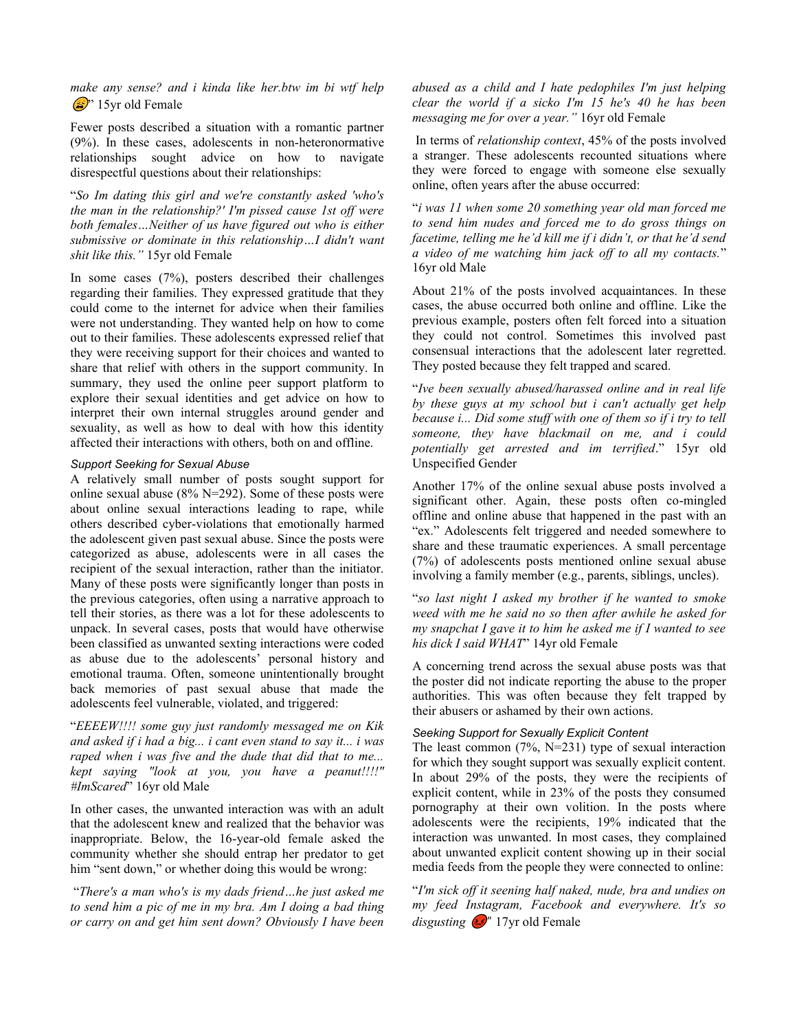*make any sense? and i kinda like her.btw im bi wtf help*   $\circled{2}$ " 15yr old Female

Fewer posts described a situation with a romantic partner (9%). In these cases, adolescents in non-heteronormative relationships sought advice on how to navigate disrespectful questions about their relationships:

"*So Im dating this girl and we're constantly asked 'who's the man in the relationship?' I'm pissed cause 1st off were both females…Neither of us have figured out who is either submissive or dominate in this relationship…I didn't want shit like this."* 15yr old Female

In some cases (7%), posters described their challenges regarding their families. They expressed gratitude that they could come to the internet for advice when their families were not understanding. They wanted help on how to come out to their families. These adolescents expressed relief that they were receiving support for their choices and wanted to share that relief with others in the support community. In summary, they used the online peer support platform to explore their sexual identities and get advice on how to interpret their own internal struggles around gender and sexuality, as well as how to deal with how this identity affected their interactions with others, both on and offline.

## *Support Seeking for Sexual Abuse*

A relatively small number of posts sought support for online sexual abuse (8% N=292). Some of these posts were about online sexual interactions leading to rape, while others described cyber-violations that emotionally harmed the adolescent given past sexual abuse. Since the posts were categorized as abuse, adolescents were in all cases the recipient of the sexual interaction, rather than the initiator. Many of these posts were significantly longer than posts in the previous categories, often using a narrative approach to tell their stories, as there was a lot for these adolescents to unpack. In several cases, posts that would have otherwise been classified as unwanted sexting interactions were coded as abuse due to the adolescents' personal history and emotional trauma. Often, someone unintentionally brought back memories of past sexual abuse that made the adolescents feel vulnerable, violated, and triggered:

"*EEEEW!!!! some guy just randomly messaged me on Kik and asked if i had a big... i cant even stand to say it... i was raped when i was five and the dude that did that to me... kept saying "look at you, you have a peanut!!!!" #ImScared*" 16yr old Male

In other cases, the unwanted interaction was with an adult that the adolescent knew and realized that the behavior was inappropriate. Below, the 16-year-old female asked the community whether she should entrap her predator to get him "sent down," or whether doing this would be wrong:

"*There's a man who's is my dads friend…he just asked me to send him a pic of me in my bra. Am I doing a bad thing or carry on and get him sent down? Obviously I have been* 

*abused as a child and I hate pedophiles I'm just helping clear the world if a sicko I'm 15 he's 40 he has been messaging me for over a year."* 16yr old Female

In terms of *relationship context*, 45% of the posts involved a stranger. These adolescents recounted situations where they were forced to engage with someone else sexually online, often years after the abuse occurred:

"*i was 11 when some 20 something year old man forced me to send him nudes and forced me to do gross things on facetime, telling me he'd kill me if i didn't, or that he'd send a video of me watching him jack off to all my contacts.*" 16yr old Male

About 21% of the posts involved acquaintances. In these cases, the abuse occurred both online and offline. Like the previous example, posters often felt forced into a situation they could not control. Sometimes this involved past consensual interactions that the adolescent later regretted. They posted because they felt trapped and scared.

"*Ive been sexually abused/harassed online and in real life by these guys at my school but i can't actually get help because i... Did some stuff with one of them so if i try to tell someone, they have blackmail on me, and i could potentially get arrested and im terrified*." 15yr old Unspecified Gender

Another 17% of the online sexual abuse posts involved a significant other. Again, these posts often co-mingled offline and online abuse that happened in the past with an "ex." Adolescents felt triggered and needed somewhere to share and these traumatic experiences. A small percentage (7%) of adolescents posts mentioned online sexual abuse involving a family member (e.g., parents, siblings, uncles).

"*so last night I asked my brother if he wanted to smoke weed with me he said no so then after awhile he asked for my snapchat I gave it to him he asked me if I wanted to see his dick I said WHAT*" 14yr old Female

A concerning trend across the sexual abuse posts was that the poster did not indicate reporting the abuse to the proper authorities. This was often because they felt trapped by their abusers or ashamed by their own actions.

# *Seeking Support for Sexually Explicit Content*

The least common  $(7\%, N=231)$  type of sexual interaction for which they sought support was sexually explicit content. In about 29% of the posts, they were the recipients of explicit content, while in 23% of the posts they consumed pornography at their own volition. In the posts where adolescents were the recipients, 19% indicated that the interaction was unwanted. In most cases, they complained about unwanted explicit content showing up in their social media feeds from the people they were connected to online:

"*I'm sick off it seening half naked, nude, bra and undies on my feed Instagram, Facebook and everywhere. It's so disgusting*  $\mathbb{C}^n$  17yr old Female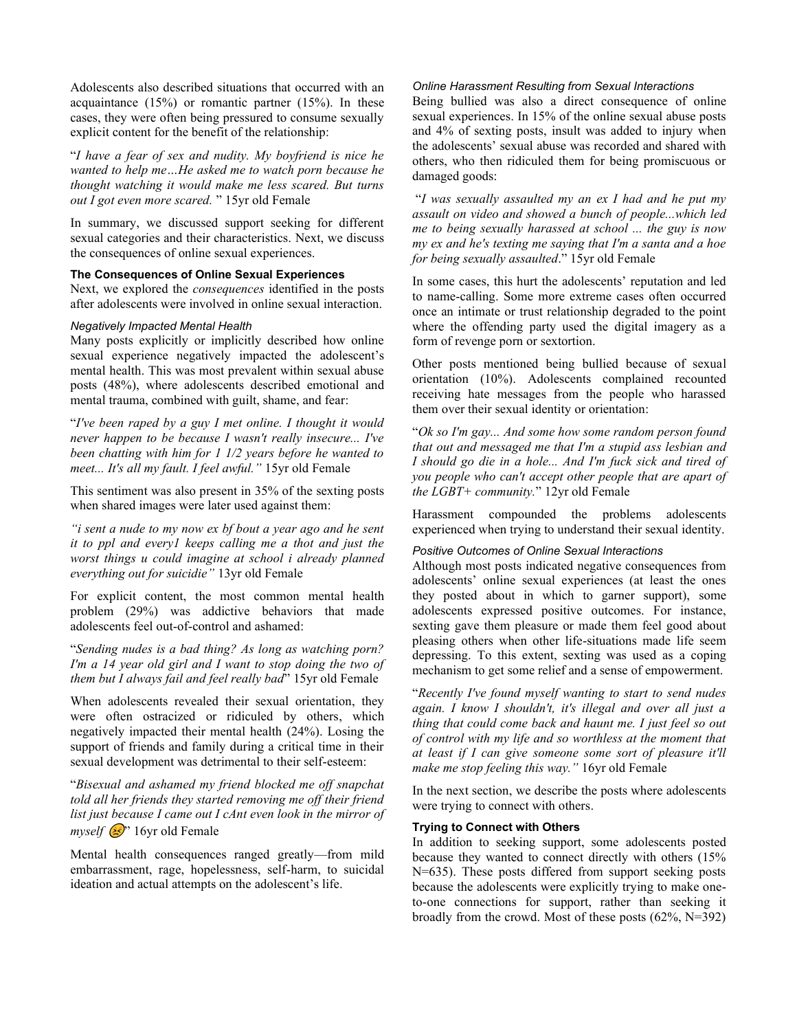Adolescents also described situations that occurred with an acquaintance  $(15%)$  or romantic partner  $(15%)$ . In these cases, they were often being pressured to consume sexually explicit content for the benefit of the relationship:

"*I have a fear of sex and nudity. My boyfriend is nice he wanted to help me…He asked me to watch porn because he thought watching it would make me less scared. But turns out I got even more scared.* " 15yr old Female

In summary, we discussed support seeking for different sexual categories and their characteristics. Next, we discuss the consequences of online sexual experiences.

## **The Consequences of Online Sexual Experiences**

Next, we explored the *consequences* identified in the posts after adolescents were involved in online sexual interaction.

## *Negatively Impacted Mental Health*

Many posts explicitly or implicitly described how online sexual experience negatively impacted the adolescent's mental health. This was most prevalent within sexual abuse posts (48%), where adolescents described emotional and mental trauma, combined with guilt, shame, and fear:

"*I've been raped by a guy I met online. I thought it would never happen to be because I wasn't really insecure... I've been chatting with him for 1 1/2 years before he wanted to meet... It's all my fault. I feel awful."* 15yr old Female

This sentiment was also present in 35% of the sexting posts when shared images were later used against them:

*"i sent a nude to my now ex bf bout a year ago and he sent it to ppl and every1 keeps calling me a thot and just the worst things u could imagine at school i already planned everything out for suicidie"* 13yr old Female

For explicit content, the most common mental health problem (29%) was addictive behaviors that made adolescents feel out-of-control and ashamed:

"*Sending nudes is a bad thing? As long as watching porn? I'm a 14 year old girl and I want to stop doing the two of them but I always fail and feel really bad*" 15yr old Female

When adolescents revealed their sexual orientation, they were often ostracized or ridiculed by others, which negatively impacted their mental health (24%). Losing the support of friends and family during a critical time in their sexual development was detrimental to their self-esteem:

"*Bisexual and ashamed my friend blocked me off snapchat told all her friends they started removing me off their friend list just because I came out I cAnt even look in the mirror of myself*  $\rightarrow$  16yr old Female

Mental health consequences ranged greatly—from mild embarrassment, rage, hopelessness, self-harm, to suicidal ideation and actual attempts on the adolescent's life.

## *Online Harassment Resulting from Sexual Interactions*

Being bullied was also a direct consequence of online sexual experiences. In 15% of the online sexual abuse posts and 4% of sexting posts, insult was added to injury when the adolescents' sexual abuse was recorded and shared with others, who then ridiculed them for being promiscuous or damaged goods:

"*I was sexually assaulted my an ex I had and he put my assault on video and showed a bunch of people...which led me to being sexually harassed at school ... the guy is now my ex and he's texting me saying that I'm a santa and a hoe for being sexually assaulted*." 15yr old Female

In some cases, this hurt the adolescents' reputation and led to name-calling. Some more extreme cases often occurred once an intimate or trust relationship degraded to the point where the offending party used the digital imagery as a form of revenge porn or sextortion.

Other posts mentioned being bullied because of sexual orientation (10%). Adolescents complained recounted receiving hate messages from the people who harassed them over their sexual identity or orientation:

"*Ok so I'm gay... And some how some random person found that out and messaged me that I'm a stupid ass lesbian and I should go die in a hole... And I'm fuck sick and tired of you people who can't accept other people that are apart of the LGBT+ community.*" 12yr old Female

Harassment compounded the problems adolescents experienced when trying to understand their sexual identity.

## *Positive Outcomes of Online Sexual Interactions*

Although most posts indicated negative consequences from adolescents' online sexual experiences (at least the ones they posted about in which to garner support), some adolescents expressed positive outcomes. For instance, sexting gave them pleasure or made them feel good about pleasing others when other life-situations made life seem depressing. To this extent, sexting was used as a coping mechanism to get some relief and a sense of empowerment.

"*Recently I've found myself wanting to start to send nudes again. I know I shouldn't, it's illegal and over all just a thing that could come back and haunt me. I just feel so out of control with my life and so worthless at the moment that at least if I can give someone some sort of pleasure it'll make me stop feeling this way."* 16yr old Female

In the next section, we describe the posts where adolescents were trying to connect with others.

## **Trying to Connect with Others**

In addition to seeking support, some adolescents posted because they wanted to connect directly with others (15% N=635). These posts differed from support seeking posts because the adolescents were explicitly trying to make oneto-one connections for support, rather than seeking it broadly from the crowd. Most of these posts (62%, N=392)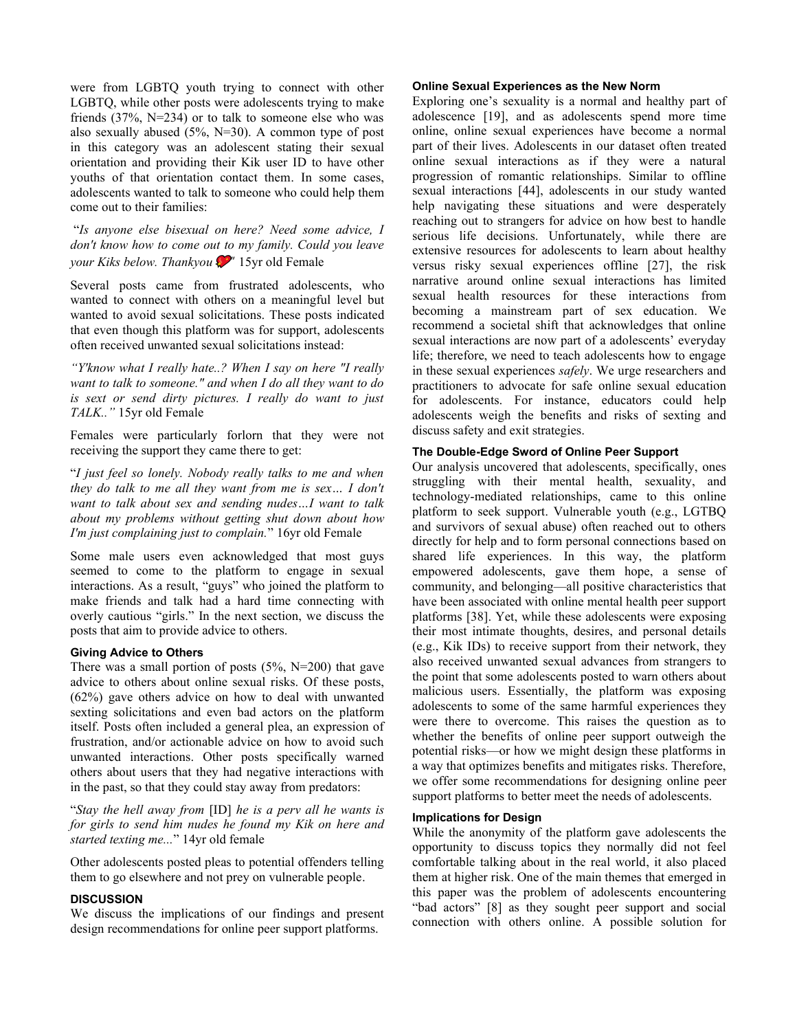were from LGBTQ youth trying to connect with other LGBTQ, while other posts were adolescents trying to make friends (37%, N=234) or to talk to someone else who was also sexually abused (5%, N=30). A common type of post in this category was an adolescent stating their sexual orientation and providing their Kik user ID to have other youths of that orientation contact them. In some cases, adolescents wanted to talk to someone who could help them come out to their families:

"*Is anyone else bisexual on here? Need some advice, I don't know how to come out to my family. Could you leave your Kiks below. Thankyou*  $\mathcal{P}$ <sup>"</sup> 15yr old Female

Several posts came from frustrated adolescents, who wanted to connect with others on a meaningful level but wanted to avoid sexual solicitations. These posts indicated that even though this platform was for support, adolescents often received unwanted sexual solicitations instead:

*"Y'know what I really hate..? When I say on here "I really want to talk to someone." and when I do all they want to do is sext or send dirty pictures. I really do want to just TALK.."* 15yr old Female

Females were particularly forlorn that they were not receiving the support they came there to get:

"*I just feel so lonely. Nobody really talks to me and when they do talk to me all they want from me is sex… I don't want to talk about sex and sending nudes…I want to talk about my problems without getting shut down about how I'm just complaining just to complain.*" 16yr old Female

Some male users even acknowledged that most guys seemed to come to the platform to engage in sexual interactions. As a result, "guys" who joined the platform to make friends and talk had a hard time connecting with overly cautious "girls." In the next section, we discuss the posts that aim to provide advice to others.

#### **Giving Advice to Others**

There was a small portion of posts  $(5\%, N=200)$  that gave advice to others about online sexual risks. Of these posts, (62%) gave others advice on how to deal with unwanted sexting solicitations and even bad actors on the platform itself. Posts often included a general plea, an expression of frustration, and/or actionable advice on how to avoid such unwanted interactions. Other posts specifically warned others about users that they had negative interactions with in the past, so that they could stay away from predators:

"*Stay the hell away from* [ID] *he is a perv all he wants is for girls to send him nudes he found my Kik on here and started texting me...*" 14yr old female

Other adolescents posted pleas to potential offenders telling them to go elsewhere and not prey on vulnerable people.

## **DISCUSSION**

We discuss the implications of our findings and present design recommendations for online peer support platforms.

## **Online Sexual Experiences as the New Norm**

Exploring one's sexuality is a normal and healthy part of adolescence [19], and as adolescents spend more time online, online sexual experiences have become a normal part of their lives. Adolescents in our dataset often treated online sexual interactions as if they were a natural progression of romantic relationships. Similar to offline sexual interactions [44], adolescents in our study wanted help navigating these situations and were desperately reaching out to strangers for advice on how best to handle serious life decisions. Unfortunately, while there are extensive resources for adolescents to learn about healthy versus risky sexual experiences offline [27], the risk narrative around online sexual interactions has limited sexual health resources for these interactions from becoming a mainstream part of sex education. We recommend a societal shift that acknowledges that online sexual interactions are now part of a adolescents' everyday life; therefore, we need to teach adolescents how to engage in these sexual experiences *safely*. We urge researchers and practitioners to advocate for safe online sexual education for adolescents. For instance, educators could help adolescents weigh the benefits and risks of sexting and discuss safety and exit strategies.

# **The Double-Edge Sword of Online Peer Support**

Our analysis uncovered that adolescents, specifically, ones struggling with their mental health, sexuality, and technology-mediated relationships, came to this online platform to seek support. Vulnerable youth (e.g., LGTBQ and survivors of sexual abuse) often reached out to others directly for help and to form personal connections based on shared life experiences. In this way, the platform empowered adolescents, gave them hope, a sense of community, and belonging—all positive characteristics that have been associated with online mental health peer support platforms [38]. Yet, while these adolescents were exposing their most intimate thoughts, desires, and personal details (e.g., Kik IDs) to receive support from their network, they also received unwanted sexual advances from strangers to the point that some adolescents posted to warn others about malicious users. Essentially, the platform was exposing adolescents to some of the same harmful experiences they were there to overcome. This raises the question as to whether the benefits of online peer support outweigh the potential risks—or how we might design these platforms in a way that optimizes benefits and mitigates risks. Therefore, we offer some recommendations for designing online peer support platforms to better meet the needs of adolescents.

#### **Implications for Design**

While the anonymity of the platform gave adolescents the opportunity to discuss topics they normally did not feel comfortable talking about in the real world, it also placed them at higher risk. One of the main themes that emerged in this paper was the problem of adolescents encountering "bad actors" [8] as they sought peer support and social connection with others online. A possible solution for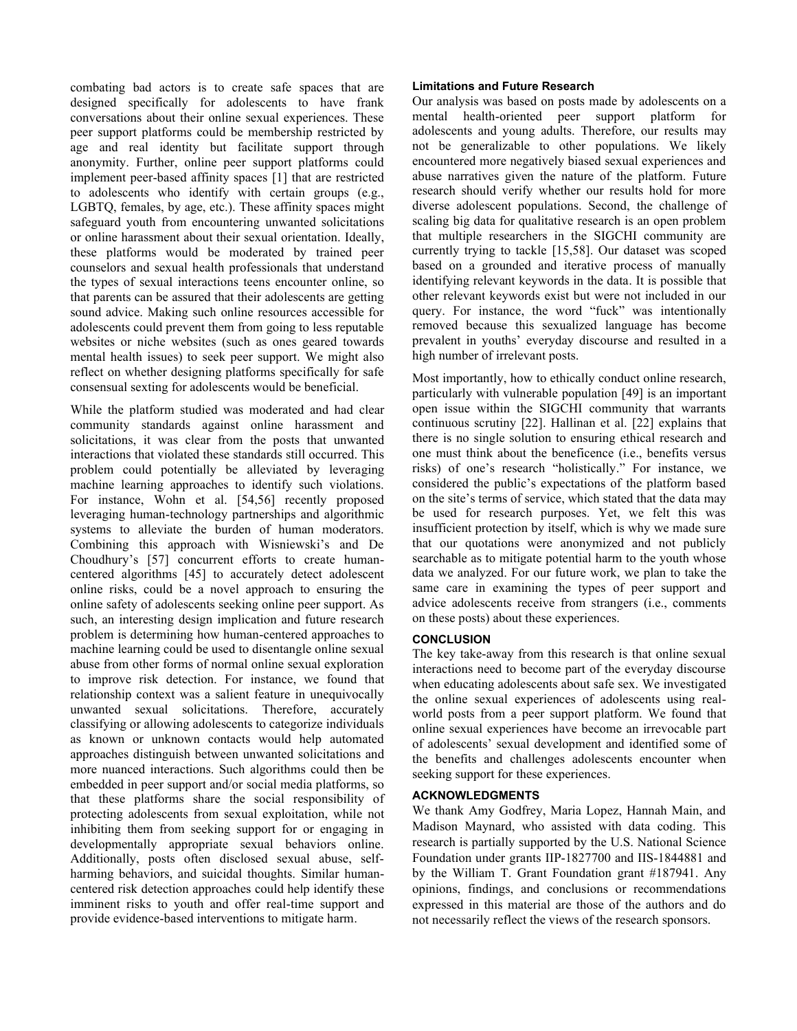combating bad actors is to create safe spaces that are designed specifically for adolescents to have frank conversations about their online sexual experiences. These peer support platforms could be membership restricted by age and real identity but facilitate support through anonymity. Further, online peer support platforms could implement peer-based affinity spaces [1] that are restricted to adolescents who identify with certain groups (e.g., LGBTQ, females, by age, etc.). These affinity spaces might safeguard youth from encountering unwanted solicitations or online harassment about their sexual orientation. Ideally, these platforms would be moderated by trained peer counselors and sexual health professionals that understand the types of sexual interactions teens encounter online, so that parents can be assured that their adolescents are getting sound advice. Making such online resources accessible for adolescents could prevent them from going to less reputable websites or niche websites (such as ones geared towards mental health issues) to seek peer support. We might also reflect on whether designing platforms specifically for safe consensual sexting for adolescents would be beneficial.

While the platform studied was moderated and had clear community standards against online harassment and solicitations, it was clear from the posts that unwanted interactions that violated these standards still occurred. This problem could potentially be alleviated by leveraging machine learning approaches to identify such violations. For instance, Wohn et al. [54,56] recently proposed leveraging human-technology partnerships and algorithmic systems to alleviate the burden of human moderators. Combining this approach with Wisniewski's and De Choudhury's [57] concurrent efforts to create humancentered algorithms [45] to accurately detect adolescent online risks, could be a novel approach to ensuring the online safety of adolescents seeking online peer support. As such, an interesting design implication and future research problem is determining how human-centered approaches to machine learning could be used to disentangle online sexual abuse from other forms of normal online sexual exploration to improve risk detection. For instance, we found that relationship context was a salient feature in unequivocally unwanted sexual solicitations. Therefore, accurately classifying or allowing adolescents to categorize individuals as known or unknown contacts would help automated approaches distinguish between unwanted solicitations and more nuanced interactions. Such algorithms could then be embedded in peer support and/or social media platforms, so that these platforms share the social responsibility of protecting adolescents from sexual exploitation, while not inhibiting them from seeking support for or engaging in developmentally appropriate sexual behaviors online. Additionally, posts often disclosed sexual abuse, selfharming behaviors, and suicidal thoughts. Similar humancentered risk detection approaches could help identify these imminent risks to youth and offer real-time support and provide evidence-based interventions to mitigate harm.

## **Limitations and Future Research**

Our analysis was based on posts made by adolescents on a mental health-oriented peer support platform for adolescents and young adults. Therefore, our results may not be generalizable to other populations. We likely encountered more negatively biased sexual experiences and abuse narratives given the nature of the platform. Future research should verify whether our results hold for more diverse adolescent populations. Second, the challenge of scaling big data for qualitative research is an open problem that multiple researchers in the SIGCHI community are currently trying to tackle [15,58]. Our dataset was scoped based on a grounded and iterative process of manually identifying relevant keywords in the data. It is possible that other relevant keywords exist but were not included in our query. For instance, the word "fuck" was intentionally removed because this sexualized language has become prevalent in youths' everyday discourse and resulted in a high number of irrelevant posts.

Most importantly, how to ethically conduct online research, particularly with vulnerable population [49] is an important open issue within the SIGCHI community that warrants continuous scrutiny [22]. Hallinan et al. [22] explains that there is no single solution to ensuring ethical research and one must think about the beneficence (i.e., benefits versus risks) of one's research "holistically." For instance, we considered the public's expectations of the platform based on the site's terms of service, which stated that the data may be used for research purposes. Yet, we felt this was insufficient protection by itself, which is why we made sure that our quotations were anonymized and not publicly searchable as to mitigate potential harm to the youth whose data we analyzed. For our future work, we plan to take the same care in examining the types of peer support and advice adolescents receive from strangers (i.e., comments on these posts) about these experiences.

## **CONCLUSION**

The key take-away from this research is that online sexual interactions need to become part of the everyday discourse when educating adolescents about safe sex. We investigated the online sexual experiences of adolescents using realworld posts from a peer support platform. We found that online sexual experiences have become an irrevocable part of adolescents' sexual development and identified some of the benefits and challenges adolescents encounter when seeking support for these experiences.

## **ACKNOWLEDGMENTS**

We thank Amy Godfrey, Maria Lopez, Hannah Main, and Madison Maynard, who assisted with data coding. This research is partially supported by the U.S. National Science Foundation under grants IIP-1827700 and IIS-1844881 and by the William T. Grant Foundation grant #187941. Any opinions, findings, and conclusions or recommendations expressed in this material are those of the authors and do not necessarily reflect the views of the research sponsors.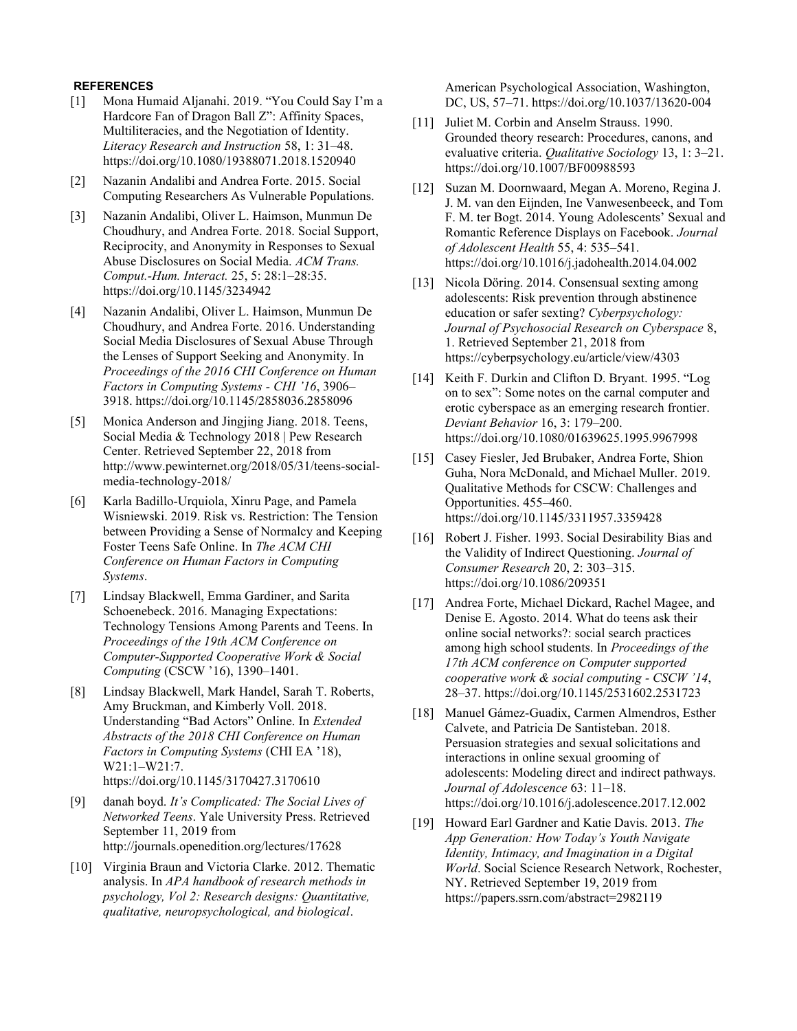## **REFERENCES**

- [1] Mona Humaid Aljanahi. 2019. "You Could Say I'm a Hardcore Fan of Dragon Ball Z": Affinity Spaces, Multiliteracies, and the Negotiation of Identity. *Literacy Research and Instruction* 58, 1: 31–48. https://doi.org/10.1080/19388071.2018.1520940
- [2] Nazanin Andalibi and Andrea Forte. 2015. Social Computing Researchers As Vulnerable Populations.
- [3] Nazanin Andalibi, Oliver L. Haimson, Munmun De Choudhury, and Andrea Forte. 2018. Social Support, Reciprocity, and Anonymity in Responses to Sexual Abuse Disclosures on Social Media. *ACM Trans. Comput.-Hum. Interact.* 25, 5: 28:1–28:35. https://doi.org/10.1145/3234942
- [4] Nazanin Andalibi, Oliver L. Haimson, Munmun De Choudhury, and Andrea Forte. 2016. Understanding Social Media Disclosures of Sexual Abuse Through the Lenses of Support Seeking and Anonymity. In *Proceedings of the 2016 CHI Conference on Human Factors in Computing Systems - CHI '16*, 3906– 3918. https://doi.org/10.1145/2858036.2858096
- [5] Monica Anderson and Jingjing Jiang. 2018. Teens, Social Media & Technology 2018 | Pew Research Center. Retrieved September 22, 2018 from http://www.pewinternet.org/2018/05/31/teens-socialmedia-technology-2018/
- [6] Karla Badillo-Urquiola, Xinru Page, and Pamela Wisniewski. 2019. Risk vs. Restriction: The Tension between Providing a Sense of Normalcy and Keeping Foster Teens Safe Online. In *The ACM CHI Conference on Human Factors in Computing Systems*.
- [7] Lindsay Blackwell, Emma Gardiner, and Sarita Schoenebeck. 2016. Managing Expectations: Technology Tensions Among Parents and Teens. In *Proceedings of the 19th ACM Conference on Computer-Supported Cooperative Work & Social Computing* (CSCW '16), 1390–1401.
- [8] Lindsay Blackwell, Mark Handel, Sarah T. Roberts, Amy Bruckman, and Kimberly Voll. 2018. Understanding "Bad Actors" Online. In *Extended Abstracts of the 2018 CHI Conference on Human Factors in Computing Systems* (CHI EA '18), W21:1–W21:7. https://doi.org/10.1145/3170427.3170610
- [9] danah boyd. *It's Complicated: The Social Lives of Networked Teens*. Yale University Press. Retrieved September 11, 2019 from http://journals.openedition.org/lectures/17628
- [10] Virginia Braun and Victoria Clarke. 2012. Thematic analysis. In *APA handbook of research methods in psychology, Vol 2: Research designs: Quantitative, qualitative, neuropsychological, and biological*.

American Psychological Association, Washington, DC, US, 57–71. https://doi.org/10.1037/13620-004

- [11] Juliet M. Corbin and Anselm Strauss. 1990. Grounded theory research: Procedures, canons, and evaluative criteria. *Qualitative Sociology* 13, 1: 3–21. https://doi.org/10.1007/BF00988593
- [12] Suzan M. Doornwaard, Megan A. Moreno, Regina J. J. M. van den Eijnden, Ine Vanwesenbeeck, and Tom F. M. ter Bogt. 2014. Young Adolescents' Sexual and Romantic Reference Displays on Facebook. *Journal of Adolescent Health* 55, 4: 535–541. https://doi.org/10.1016/j.jadohealth.2014.04.002
- [13] Nicola Döring. 2014. Consensual sexting among adolescents: Risk prevention through abstinence education or safer sexting? *Cyberpsychology: Journal of Psychosocial Research on Cyberspace* 8, 1. Retrieved September 21, 2018 from https://cyberpsychology.eu/article/view/4303
- [14] Keith F. Durkin and Clifton D. Bryant. 1995. "Log on to sex": Some notes on the carnal computer and erotic cyberspace as an emerging research frontier. *Deviant Behavior* 16, 3: 179–200. https://doi.org/10.1080/01639625.1995.9967998
- [15] Casey Fiesler, Jed Brubaker, Andrea Forte, Shion Guha, Nora McDonald, and Michael Muller. 2019. Qualitative Methods for CSCW: Challenges and Opportunities. 455–460. https://doi.org/10.1145/3311957.3359428
- [16] Robert J. Fisher. 1993. Social Desirability Bias and the Validity of Indirect Questioning. *Journal of Consumer Research* 20, 2: 303–315. https://doi.org/10.1086/209351
- [17] Andrea Forte, Michael Dickard, Rachel Magee, and Denise E. Agosto. 2014. What do teens ask their online social networks?: social search practices among high school students. In *Proceedings of the 17th ACM conference on Computer supported cooperative work & social computing - CSCW '14*, 28–37. https://doi.org/10.1145/2531602.2531723
- [18] Manuel Gámez-Guadix, Carmen Almendros, Esther Calvete, and Patricia De Santisteban. 2018. Persuasion strategies and sexual solicitations and interactions in online sexual grooming of adolescents: Modeling direct and indirect pathways. *Journal of Adolescence* 63: 11–18. https://doi.org/10.1016/j.adolescence.2017.12.002
- [19] Howard Earl Gardner and Katie Davis. 2013. *The App Generation: How Today's Youth Navigate Identity, Intimacy, and Imagination in a Digital World*. Social Science Research Network, Rochester, NY. Retrieved September 19, 2019 from https://papers.ssrn.com/abstract=2982119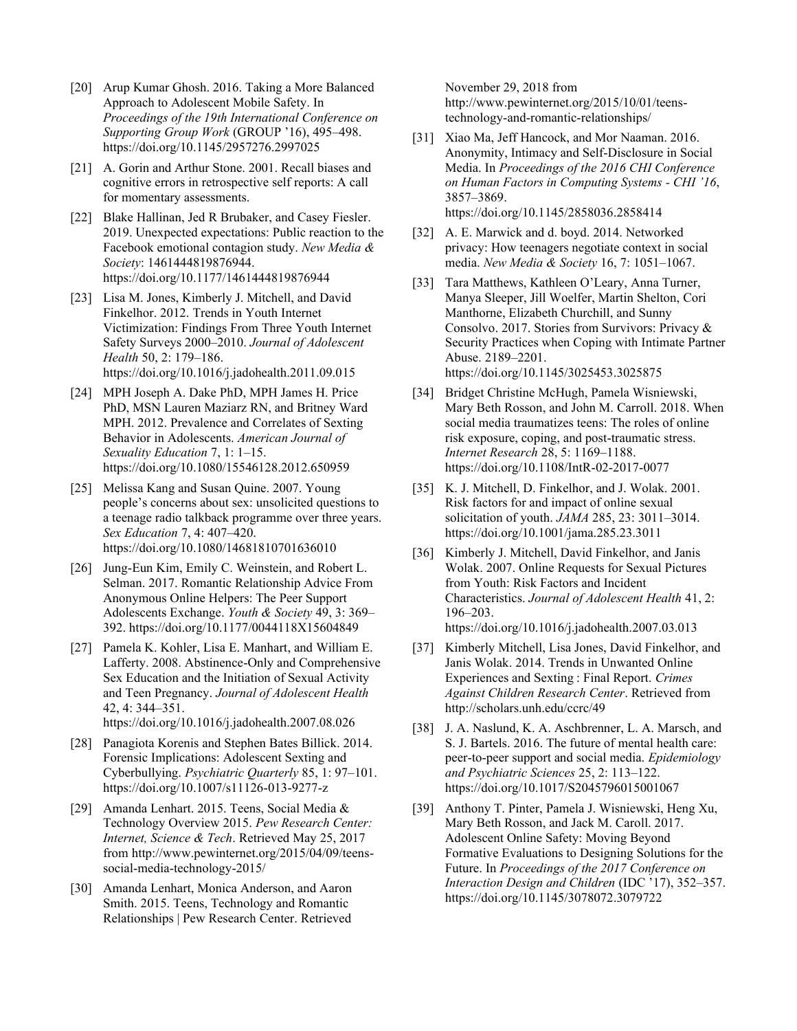- [20] Arup Kumar Ghosh. 2016. Taking a More Balanced Approach to Adolescent Mobile Safety. In *Proceedings of the 19th International Conference on Supporting Group Work* (GROUP '16), 495–498. https://doi.org/10.1145/2957276.2997025
- [21] A. Gorin and Arthur Stone. 2001. Recall biases and cognitive errors in retrospective self reports: A call for momentary assessments.
- [22] Blake Hallinan, Jed R Brubaker, and Casey Fiesler. 2019. Unexpected expectations: Public reaction to the Facebook emotional contagion study. *New Media & Society*: 1461444819876944. https://doi.org/10.1177/1461444819876944
- [23] Lisa M. Jones, Kimberly J. Mitchell, and David Finkelhor. 2012. Trends in Youth Internet Victimization: Findings From Three Youth Internet Safety Surveys 2000–2010. *Journal of Adolescent Health* 50, 2: 179–186. https://doi.org/10.1016/j.jadohealth.2011.09.015
- [24] MPH Joseph A. Dake PhD, MPH James H. Price PhD, MSN Lauren Maziarz RN, and Britney Ward MPH. 2012. Prevalence and Correlates of Sexting Behavior in Adolescents. *American Journal of Sexuality Education* 7, 1: 1–15. https://doi.org/10.1080/15546128.2012.650959
- [25] Melissa Kang and Susan Quine. 2007. Young people's concerns about sex: unsolicited questions to a teenage radio talkback programme over three years. *Sex Education* 7, 4: 407–420. https://doi.org/10.1080/14681810701636010
- [26] Jung-Eun Kim, Emily C. Weinstein, and Robert L. Selman. 2017. Romantic Relationship Advice From Anonymous Online Helpers: The Peer Support Adolescents Exchange. *Youth & Society* 49, 3: 369– 392. https://doi.org/10.1177/0044118X15604849
- [27] Pamela K. Kohler, Lisa E. Manhart, and William E. Lafferty. 2008. Abstinence-Only and Comprehensive Sex Education and the Initiation of Sexual Activity and Teen Pregnancy. *Journal of Adolescent Health* 42, 4: 344–351. https://doi.org/10.1016/j.jadohealth.2007.08.026
- [28] Panagiota Korenis and Stephen Bates Billick. 2014. Forensic Implications: Adolescent Sexting and
- Cyberbullying. *Psychiatric Quarterly* 85, 1: 97–101. https://doi.org/10.1007/s11126-013-9277-z
- [29] Amanda Lenhart. 2015. Teens, Social Media & Technology Overview 2015. *Pew Research Center: Internet, Science & Tech*. Retrieved May 25, 2017 from http://www.pewinternet.org/2015/04/09/teenssocial-media-technology-2015/
- [30] Amanda Lenhart, Monica Anderson, and Aaron Smith. 2015. Teens, Technology and Romantic Relationships | Pew Research Center. Retrieved

November 29, 2018 from http://www.pewinternet.org/2015/10/01/teenstechnology-and-romantic-relationships/

- [31] Xiao Ma, Jeff Hancock, and Mor Naaman. 2016. Anonymity, Intimacy and Self-Disclosure in Social Media. In *Proceedings of the 2016 CHI Conference on Human Factors in Computing Systems - CHI '16*, 3857–3869. https://doi.org/10.1145/2858036.2858414
- [32] A. E. Marwick and d. boyd. 2014. Networked privacy: How teenagers negotiate context in social media. *New Media & Society* 16, 7: 1051–1067.
- [33] Tara Matthews, Kathleen O'Leary, Anna Turner, Manya Sleeper, Jill Woelfer, Martin Shelton, Cori Manthorne, Elizabeth Churchill, and Sunny Consolvo. 2017. Stories from Survivors: Privacy & Security Practices when Coping with Intimate Partner Abuse. 2189–2201. https://doi.org/10.1145/3025453.3025875
- [34] Bridget Christine McHugh, Pamela Wisniewski, Mary Beth Rosson, and John M. Carroll. 2018. When social media traumatizes teens: The roles of online risk exposure, coping, and post-traumatic stress. *Internet Research* 28, 5: 1169–1188. https://doi.org/10.1108/IntR-02-2017-0077
- [35] K. J. Mitchell, D. Finkelhor, and J. Wolak. 2001. Risk factors for and impact of online sexual solicitation of youth. *JAMA* 285, 23: 3011–3014. https://doi.org/10.1001/jama.285.23.3011
- [36] Kimberly J. Mitchell, David Finkelhor, and Janis Wolak. 2007. Online Requests for Sexual Pictures from Youth: Risk Factors and Incident Characteristics. *Journal of Adolescent Health* 41, 2: 196–203. https://doi.org/10.1016/j.jadohealth.2007.03.013
- [37] Kimberly Mitchell, Lisa Jones, David Finkelhor, and Janis Wolak. 2014. Trends in Unwanted Online Experiences and Sexting : Final Report. *Crimes Against Children Research Center*. Retrieved from http://scholars.unh.edu/ccrc/49
- [38] J. A. Naslund, K. A. Aschbrenner, L. A. Marsch, and S. J. Bartels. 2016. The future of mental health care: peer-to-peer support and social media. *Epidemiology and Psychiatric Sciences* 25, 2: 113–122. https://doi.org/10.1017/S2045796015001067
- [39] Anthony T. Pinter, Pamela J. Wisniewski, Heng Xu, Mary Beth Rosson, and Jack M. Caroll. 2017. Adolescent Online Safety: Moving Beyond Formative Evaluations to Designing Solutions for the Future. In *Proceedings of the 2017 Conference on Interaction Design and Children* (IDC '17), 352–357. https://doi.org/10.1145/3078072.3079722